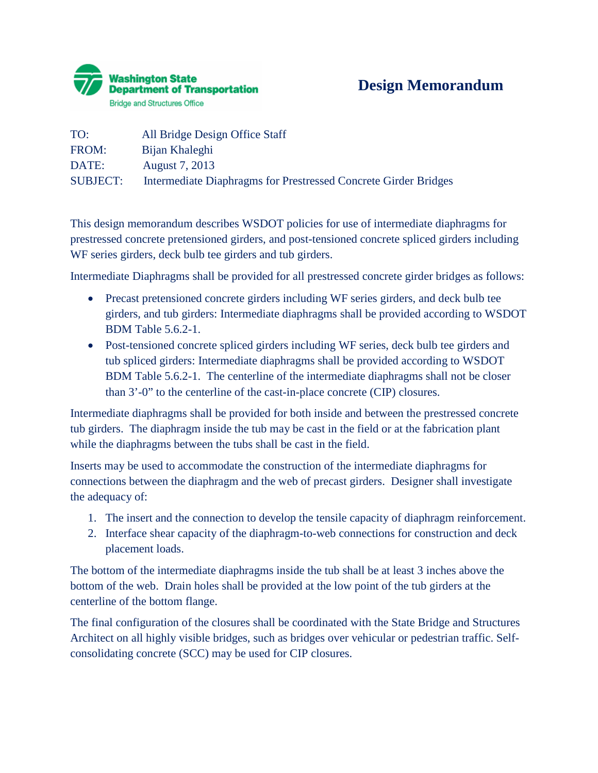

## **Design Memorandum**

| TO:             | All Bridge Design Office Staff                                  |
|-----------------|-----------------------------------------------------------------|
| FROM:           | Bijan Khaleghi                                                  |
| DATE:           | August 7, 2013                                                  |
| <b>SUBJECT:</b> | Intermediate Diaphragms for Prestressed Concrete Girder Bridges |

This design memorandum describes WSDOT policies for use of intermediate diaphragms for prestressed concrete pretensioned girders, and post-tensioned concrete spliced girders including WF series girders, deck bulb tee girders and tub girders.

Intermediate Diaphragms shall be provided for all prestressed concrete girder bridges as follows:

- Precast pretensioned concrete girders including WF series girders, and deck bulb tee girders, and tub girders: Intermediate diaphragms shall be provided according to WSDOT BDM Table 5.6.2-1.
- Post-tensioned concrete spliced girders including WF series, deck bulb tee girders and tub spliced girders: Intermediate diaphragms shall be provided according to WSDOT BDM Table 5.6.2-1. The centerline of the intermediate diaphragms shall not be closer than 3'-0" to the centerline of the cast-in-place concrete (CIP) closures.

Intermediate diaphragms shall be provided for both inside and between the prestressed concrete tub girders. The diaphragm inside the tub may be cast in the field or at the fabrication plant while the diaphragms between the tubs shall be cast in the field.

Inserts may be used to accommodate the construction of the intermediate diaphragms for connections between the diaphragm and the web of precast girders. Designer shall investigate the adequacy of:

- 1. The insert and the connection to develop the tensile capacity of diaphragm reinforcement.
- 2. Interface shear capacity of the diaphragm-to-web connections for construction and deck placement loads.

The bottom of the intermediate diaphragms inside the tub shall be at least 3 inches above the bottom of the web. Drain holes shall be provided at the low point of the tub girders at the centerline of the bottom flange.

The final configuration of the closures shall be coordinated with the State Bridge and Structures Architect on all highly visible bridges, such as bridges over vehicular or pedestrian traffic. Selfconsolidating concrete (SCC) may be used for CIP closures.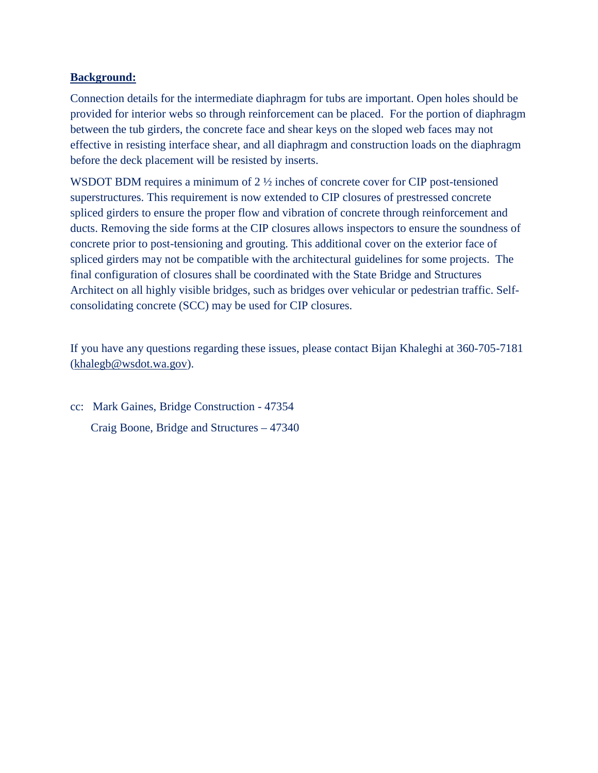#### **Background:**

Connection details for the intermediate diaphragm for tubs are important. Open holes should be provided for interior webs so through reinforcement can be placed. For the portion of diaphragm between the tub girders, the concrete face and shear keys on the sloped web faces may not effective in resisting interface shear, and all diaphragm and construction loads on the diaphragm before the deck placement will be resisted by inserts.

WSDOT BDM requires a minimum of  $2 \frac{1}{2}$  inches of concrete cover for CIP post-tensioned superstructures. This requirement is now extended to CIP closures of prestressed concrete spliced girders to ensure the proper flow and vibration of concrete through reinforcement and ducts. Removing the side forms at the CIP closures allows inspectors to ensure the soundness of concrete prior to post-tensioning and grouting. This additional cover on the exterior face of spliced girders may not be compatible with the architectural guidelines for some projects. The final configuration of closures shall be coordinated with the State Bridge and Structures Architect on all highly visible bridges, such as bridges over vehicular or pedestrian traffic. Selfconsolidating concrete (SCC) may be used for CIP closures.

If you have any questions regarding these issues, please contact Bijan Khaleghi at 360-705-7181 [\(khalegb@wsdot.wa.gov\)](mailto:khalegb@wsdot.wa.gov).

cc: Mark Gaines, Bridge Construction - 47354 Craig Boone, Bridge and Structures – 47340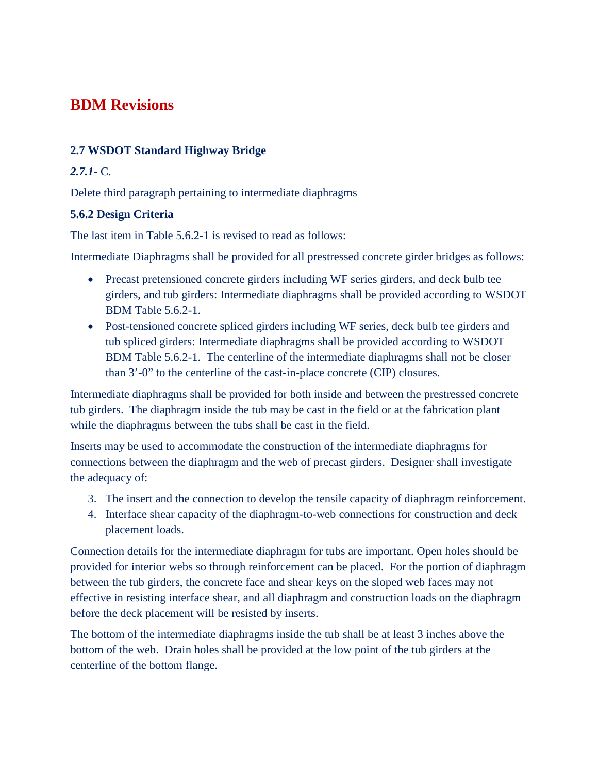# **BDM Revisions**

### **2.7 WSDOT Standard Highway Bridge**

### *2.7.1-* C.

Delete third paragraph pertaining to intermediate diaphragms

### **5.6.2 Design Criteria**

The last item in Table 5.6.2-1 is revised to read as follows:

Intermediate Diaphragms shall be provided for all prestressed concrete girder bridges as follows:

- Precast pretensioned concrete girders including WF series girders, and deck bulb tee girders, and tub girders: Intermediate diaphragms shall be provided according to WSDOT BDM Table 5.6.2-1.
- Post-tensioned concrete spliced girders including WF series, deck bulb tee girders and tub spliced girders: Intermediate diaphragms shall be provided according to WSDOT BDM Table 5.6.2-1. The centerline of the intermediate diaphragms shall not be closer than 3'-0" to the centerline of the cast-in-place concrete (CIP) closures.

Intermediate diaphragms shall be provided for both inside and between the prestressed concrete tub girders. The diaphragm inside the tub may be cast in the field or at the fabrication plant while the diaphragms between the tubs shall be cast in the field.

Inserts may be used to accommodate the construction of the intermediate diaphragms for connections between the diaphragm and the web of precast girders. Designer shall investigate the adequacy of:

- 3. The insert and the connection to develop the tensile capacity of diaphragm reinforcement.
- 4. Interface shear capacity of the diaphragm-to-web connections for construction and deck placement loads.

Connection details for the intermediate diaphragm for tubs are important. Open holes should be provided for interior webs so through reinforcement can be placed. For the portion of diaphragm between the tub girders, the concrete face and shear keys on the sloped web faces may not effective in resisting interface shear, and all diaphragm and construction loads on the diaphragm before the deck placement will be resisted by inserts.

The bottom of the intermediate diaphragms inside the tub shall be at least 3 inches above the bottom of the web. Drain holes shall be provided at the low point of the tub girders at the centerline of the bottom flange.